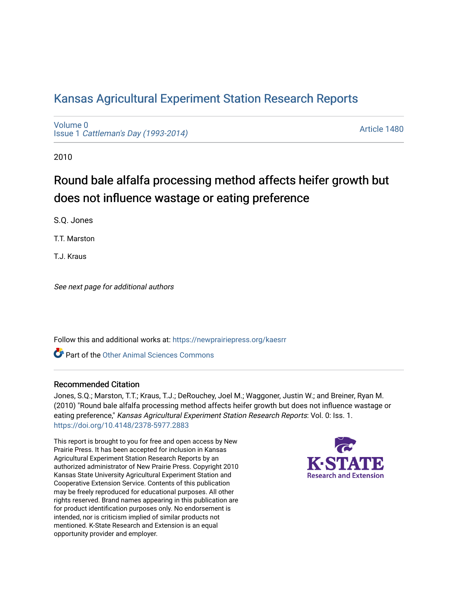## [Kansas Agricultural Experiment Station Research Reports](https://newprairiepress.org/kaesrr)

[Volume 0](https://newprairiepress.org/kaesrr/vol0) Issue 1 [Cattleman's Day \(1993-2014\)](https://newprairiepress.org/kaesrr/vol0/iss1) 

[Article 1480](https://newprairiepress.org/kaesrr/vol0/iss1/1480) 

2010

## Round bale alfalfa processing method affects heifer growth but does not influence wastage or eating preference

S.Q. Jones

T.T. Marston

T.J. Kraus

See next page for additional authors

Follow this and additional works at: [https://newprairiepress.org/kaesrr](https://newprairiepress.org/kaesrr?utm_source=newprairiepress.org%2Fkaesrr%2Fvol0%2Fiss1%2F1480&utm_medium=PDF&utm_campaign=PDFCoverPages) 

**C** Part of the [Other Animal Sciences Commons](http://network.bepress.com/hgg/discipline/82?utm_source=newprairiepress.org%2Fkaesrr%2Fvol0%2Fiss1%2F1480&utm_medium=PDF&utm_campaign=PDFCoverPages)

#### Recommended Citation

Jones, S.Q.; Marston, T.T.; Kraus, T.J.; DeRouchey, Joel M.; Waggoner, Justin W.; and Breiner, Ryan M. (2010) "Round bale alfalfa processing method affects heifer growth but does not influence wastage or eating preference," Kansas Agricultural Experiment Station Research Reports: Vol. 0: Iss. 1. <https://doi.org/10.4148/2378-5977.2883>

This report is brought to you for free and open access by New Prairie Press. It has been accepted for inclusion in Kansas Agricultural Experiment Station Research Reports by an authorized administrator of New Prairie Press. Copyright 2010 Kansas State University Agricultural Experiment Station and Cooperative Extension Service. Contents of this publication may be freely reproduced for educational purposes. All other rights reserved. Brand names appearing in this publication are for product identification purposes only. No endorsement is intended, nor is criticism implied of similar products not mentioned. K-State Research and Extension is an equal opportunity provider and employer.

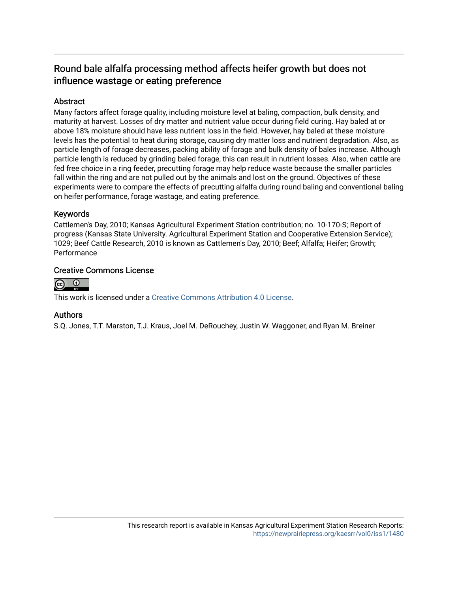## Round bale alfalfa processing method affects heifer growth but does not influence wastage or eating preference

## **Abstract**

Many factors affect forage quality, including moisture level at baling, compaction, bulk density, and maturity at harvest. Losses of dry matter and nutrient value occur during field curing. Hay baled at or above 18% moisture should have less nutrient loss in the field. However, hay baled at these moisture levels has the potential to heat during storage, causing dry matter loss and nutrient degradation. Also, as particle length of forage decreases, packing ability of forage and bulk density of bales increase. Although particle length is reduced by grinding baled forage, this can result in nutrient losses. Also, when cattle are fed free choice in a ring feeder, precutting forage may help reduce waste because the smaller particles fall within the ring and are not pulled out by the animals and lost on the ground. Objectives of these experiments were to compare the effects of precutting alfalfa during round baling and conventional baling on heifer performance, forage wastage, and eating preference.

## Keywords

Cattlemen's Day, 2010; Kansas Agricultural Experiment Station contribution; no. 10-170-S; Report of progress (Kansas State University. Agricultural Experiment Station and Cooperative Extension Service); 1029; Beef Cattle Research, 2010 is known as Cattlemen's Day, 2010; Beef; Alfalfa; Heifer; Growth; **Performance** 

### Creative Commons License



This work is licensed under a [Creative Commons Attribution 4.0 License](https://creativecommons.org/licenses/by/4.0/).

## Authors

S.Q. Jones, T.T. Marston, T.J. Kraus, Joel M. DeRouchey, Justin W. Waggoner, and Ryan M. Breiner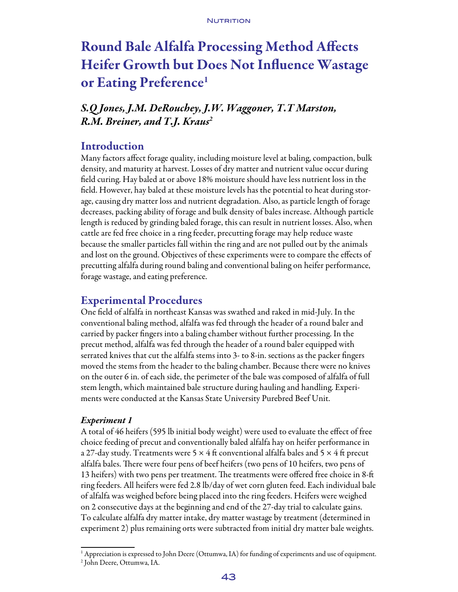# Round Bale Alfalfa Processing Method Affects Heifer Growth but Does Not Influence Wastage or Eating Preference<sup>1</sup>

## *S.Q Jones, J.M. DeRouchey, J.W. Waggoner, T.T Marston, R.M. Breiner, and T.J. Kraus2*

## Introduction

Many factors affect forage quality, including moisture level at baling, compaction, bulk density, and maturity at harvest. Losses of dry matter and nutrient value occur during field curing. Hay baled at or above 18% moisture should have less nutrient loss in the field. However, hay baled at these moisture levels has the potential to heat during storage, causing dry matter loss and nutrient degradation. Also, as particle length of forage decreases, packing ability of forage and bulk density of bales increase. Although particle length is reduced by grinding baled forage, this can result in nutrient losses. Also, when cattle are fed free choice in a ring feeder, precutting forage may help reduce waste because the smaller particles fall within the ring and are not pulled out by the animals and lost on the ground. Objectives of these experiments were to compare the effects of precutting alfalfa during round baling and conventional baling on heifer performance, forage wastage, and eating preference.

## Experimental Procedures

One field of alfalfa in northeast Kansas was swathed and raked in mid-July. In the conventional baling method, alfalfa was fed through the header of a round baler and carried by packer fingers into a baling chamber without further processing. In the precut method, alfalfa was fed through the header of a round baler equipped with serrated knives that cut the alfalfa stems into 3- to 8-in. sections as the packer fingers moved the stems from the header to the baling chamber. Because there were no knives on the outer 6 in. of each side, the perimeter of the bale was composed of alfalfa of full stem length, which maintained bale structure during hauling and handling. Experiments were conducted at the Kansas State University Purebred Beef Unit.

#### *Experiment 1*

A total of 46 heifers (595 lb initial body weight) were used to evaluate the effect of free choice feeding of precut and conventionally baled alfalfa hay on heifer performance in a 27-day study. Treatments were 5  $\times$  4 ft conventional alfalfa bales and 5  $\times$  4 ft precut alfalfa bales. There were four pens of beef heifers (two pens of 10 heifers, two pens of 13 heifers) with two pens per treatment. The treatments were offered free choice in 8-ft ring feeders. All heifers were fed 2.8 lb/day of wet corn gluten feed. Each individual bale of alfalfa was weighed before being placed into the ring feeders. Heifers were weighed on 2 consecutive days at the beginning and end of the 27-day trial to calculate gains. To calculate alfalfa dry matter intake, dry matter wastage by treatment (determined in experiment 2) plus remaining orts were subtracted from initial dry matter bale weights.

<sup>&</sup>lt;sup>1</sup> Appreciation is expressed to John Deere (Ottumwa, IA) for funding of experiments and use of equipment.

<sup>2</sup> John Deere, Ottumwa, IA.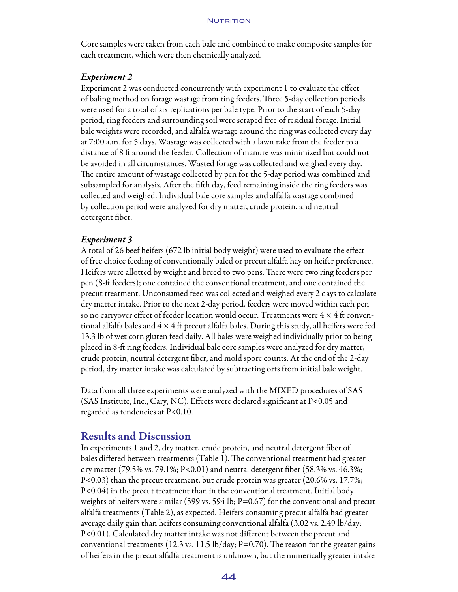Core samples were taken from each bale and combined to make composite samples for each treatment, which were then chemically analyzed.

#### *Experiment 2*

Experiment 2 was conducted concurrently with experiment 1 to evaluate the effect of baling method on forage wastage from ring feeders. Three 5-day collection periods were used for a total of six replications per bale type. Prior to the start of each 5-day period, ring feeders and surrounding soil were scraped free of residual forage. Initial bale weights were recorded, and alfalfa wastage around the ring was collected every day at 7:00 a.m. for 5 days. Wastage was collected with a lawn rake from the feeder to a distance of 8 ft around the feeder. Collection of manure was minimized but could not be avoided in all circumstances. Wasted forage was collected and weighed every day. The entire amount of wastage collected by pen for the 5-day period was combined and subsampled for analysis. After the fifth day, feed remaining inside the ring feeders was collected and weighed. Individual bale core samples and alfalfa wastage combined by collection period were analyzed for dry matter, crude protein, and neutral detergent fiber.

#### *Experiment 3*

A total of 26 beef heifers (672 lb initial body weight) were used to evaluate the effect of free choice feeding of conventionally baled or precut alfalfa hay on heifer preference. Heifers were allotted by weight and breed to two pens. There were two ring feeders per pen (8-ft feeders); one contained the conventional treatment, and one contained the precut treatment. Unconsumed feed was collected and weighed every 2 days to calculate dry matter intake. Prior to the next 2-day period, feeders were moved within each pen so no carryover effect of feeder location would occur. Treatments were  $4 \times 4$  ft conventional alfalfa bales and  $4 \times 4$  ft precut alfalfa bales. During this study, all heifers were fed 13.3 lb of wet corn gluten feed daily. All bales were weighed individually prior to being placed in 8-ft ring feeders. Individual bale core samples were analyzed for dry matter, crude protein, neutral detergent fiber, and mold spore counts. At the end of the 2-day period, dry matter intake was calculated by subtracting orts from initial bale weight.

Data from all three experiments were analyzed with the MIXED procedures of SAS (SAS Institute, Inc., Cary, NC). Effects were declared significant at P<0.05 and regarded as tendencies at P<0.10.

## Results and Discussion

In experiments 1 and 2, dry matter, crude protein, and neutral detergent fiber of bales differed between treatments (Table 1). The conventional treatment had greater dry matter (79.5% vs. 79.1%; P<0.01) and neutral detergent fiber (58.3% vs. 46.3%; P<0.03) than the precut treatment, but crude protein was greater (20.6% vs. 17.7%; P<0.04) in the precut treatment than in the conventional treatment. Initial body weights of heifers were similar (599 vs. 594 lb;  $P=0.67$ ) for the conventional and precut alfalfa treatments (Table 2), as expected. Heifers consuming precut alfalfa had greater average daily gain than heifers consuming conventional alfalfa (3.02 vs. 2.49 lb/day; P<0.01). Calculated dry matter intake was not different between the precut and conventional treatments (12.3 vs. 11.5 lb/day; P=0.70). The reason for the greater gains of heifers in the precut alfalfa treatment is unknown, but the numerically greater intake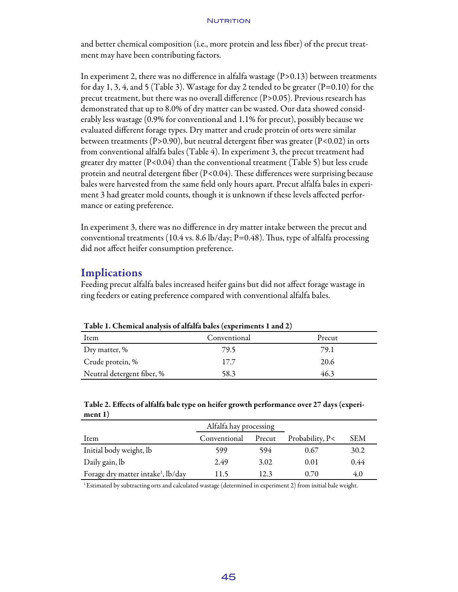#### **NUTRITION**

and better chemical composition (i.e., more protein and less fiber) of the precut treatment may have been contributing factors.

In experiment 2, there was no difference in alfalfa wastage  $(P>0.13)$  between treatments for day 1, 3, 4, and 5 (Table 3). Wastage for day 2 tended to be greater  $(P=0.10)$  for the precut treatment, but there was no overall difference (P>0.05). Previous research has demonstrated that up to 8.0% of dry matter can be wasted. Our data showed considerably less wastage (0.9% for conventional and 1.1% for precut), possibly because we evaluated different forage types. Dry matter and crude protein of orts were similar between treatments (P>0.90), but neutral detergent fiber was greater (P<0.02) in orts from conventional alfalfa bales (Table 4). In experiment 3, the precut treatment had greater dry matter  $(P< 0.04)$  than the conventional treatment (Table 5) but less crude protein and neutral detergent fiber  $(P< 0.04)$ . These differences were surprising because bales were harvested from the same field only hours apart. Precut alfalfa bales in experiment 3 had greater mold counts, though it is unknown if these levels affected performance or eating preference.

In experiment 3, there was no difference in dry matter intake between the precut and conventional treatments (10.4 vs. 8.6 lb/day; P=0.48). Thus, type of alfalfa processing did not affect heifer consumption preference.

## **Implications**

Feeding precut alfalfa bales increased heifer gains but did not affect forage wastage in ring feeders or eating preference compared with conventional alfalfa bales.

| Table 1. Chemical analysis of analia bales (experiments 1 and 2) |              |        |  |  |
|------------------------------------------------------------------|--------------|--------|--|--|
| Item                                                             | Conventional | Precut |  |  |
| Dry matter, %                                                    | 79.5         | 79.1   |  |  |
| Crude protein, %                                                 | 17.7         | 20.6   |  |  |
| Neutral detergent fiber, %                                       | 58.3         | 46.3   |  |  |

Table 1. Chemical analysis of alfalfa bales (experiments 1 and 2)

#### Table 2. Effects of alfalfa bale type on heifer growth performance over 27 days (experiment 1)

|                                                | Alfalfa hay processing |        |                 |      |
|------------------------------------------------|------------------------|--------|-----------------|------|
| Item                                           | Conventional           | Precut | Probability, P< | SEM  |
| Initial body weight, lb                        | 599                    | 594    | 0.67            | 30.2 |
| Daily gain, lb                                 | 2.49                   | 3.02   | 0.01            | 0.44 |
| Forage dry matter intake <sup>1</sup> , lb/day | 11.5                   | 12.3   | 0.70            | 4.0  |

1Estimated by subtracting orts and calculated wastage (determined in experiment 2) from initial bale weight.